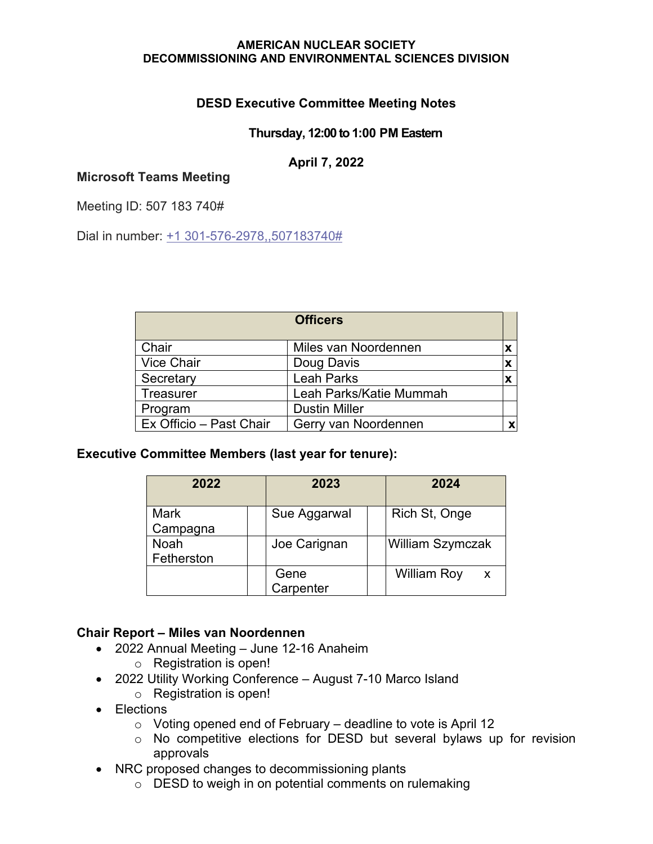# **DESD Executive Committee Meeting Notes**

### **Thursday, 12:00 to 1:00 PM Eastern**

### **April 7, 2022**

### **Microsoft Teams Meeting**

Meeting ID: 507 183 740#

Dial in number: [+1 301-576-2978,,507183740#](tel:+13015762978,,507183740#%20)

|                         | <b>Officers</b>         |  |
|-------------------------|-------------------------|--|
| Chair                   | Miles van Noordennen    |  |
| <b>Vice Chair</b>       | Doug Davis              |  |
| Secretary               | <b>Leah Parks</b>       |  |
| <b>Treasurer</b>        | Leah Parks/Katie Mummah |  |
| Program                 | <b>Dustin Miller</b>    |  |
| Ex Officio - Past Chair | Gerry van Noordennen    |  |

**Executive Committee Members (last year for tenure):**

| 2022                      | 2023              | 2024                               |
|---------------------------|-------------------|------------------------------------|
| <b>Mark</b><br>Campagna   | Sue Aggarwal      | Rich St, Onge                      |
| <b>Noah</b><br>Fetherston | Joe Carignan      | <b>William Szymczak</b>            |
|                           | Gene<br>Carpenter | <b>William Roy</b><br>$\mathsf{x}$ |

### **Chair Report – Miles van Noordennen**

- 2022 Annual Meeting June 12-16 Anaheim
	- o Registration is open!
- 2022 Utility Working Conference August 7-10 Marco Island
	- o Registration is open!
- Elections
	- $\circ$  Voting opened end of February deadline to vote is April 12
	- o No competitive elections for DESD but several bylaws up for revision approvals
- NRC proposed changes to decommissioning plants
	- o DESD to weigh in on potential comments on rulemaking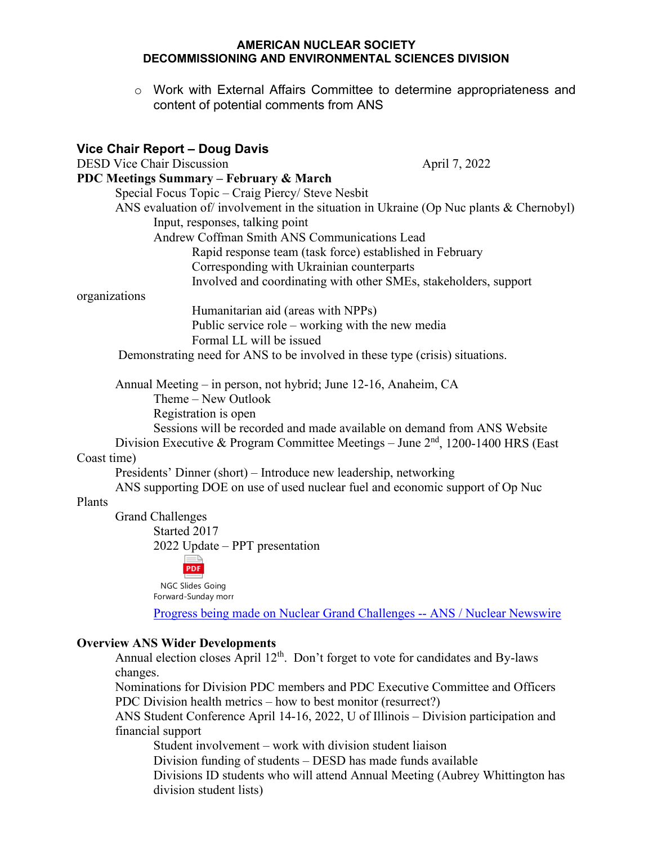$\circ$  Work with External Affairs Committee to determine appropriateness and content of potential comments from ANS

# **Vice Chair Report – Doug Davis**  DESD Vice Chair Discussion April 7, 2022 **PDC Meetings Summary – February & March** Special Focus Topic – Craig Piercy/ Steve Nesbit ANS evaluation of involvement in the situation in Ukraine (Op Nuc plants & Chernobyl) Input, responses, talking point Andrew Coffman Smith ANS Communications Lead Rapid response team (task force) established in February Corresponding with Ukrainian counterparts Involved and coordinating with other SMEs, stakeholders, support organizations Humanitarian aid (areas with NPPs) Public service role – working with the new media Formal LL will be issued Demonstrating need for ANS to be involved in these type (crisis) situations. Annual Meeting – in person, not hybrid; June 12-16, Anaheim, CA Theme – New Outlook Registration is open Sessions will be recorded and made available on demand from ANS Website Division Executive & Program Committee Meetings – June  $2<sup>nd</sup>$ , 1200-1400 HRS (East Coast time) Presidents' Dinner (short) – Introduce new leadership, networking ANS supporting DOE on use of used nuclear fuel and economic support of Op Nuc Plants Grand Challenges Started 2017 2022 Update – PPT presentation PDF NGC Slides Going Forward-Sunday morr Progress being made on Nuclear Grand Challenges -- ANS / Nuclear Newswire

#### **Overview ANS Wider Developments**

Annual election closes April 12<sup>th</sup>. Don't forget to vote for candidates and By-laws changes.

Nominations for Division PDC members and PDC Executive Committee and Officers PDC Division health metrics – how to best monitor (resurrect?)

ANS Student Conference April 14-16, 2022, U of Illinois – Division participation and financial support

Student involvement – work with division student liaison

Division funding of students – DESD has made funds available

Divisions ID students who will attend Annual Meeting (Aubrey Whittington has division student lists)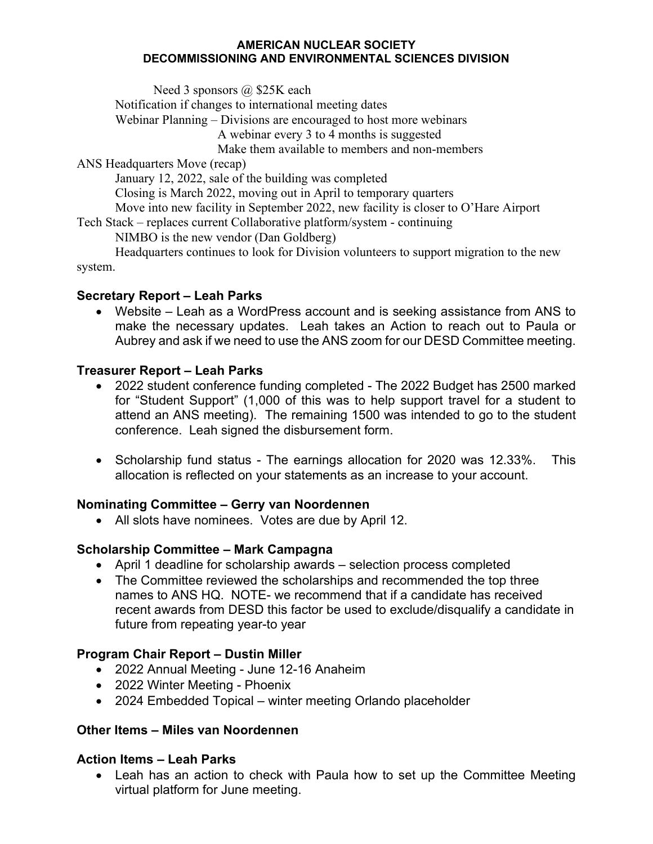Need 3 sponsors @ \$25K each

Notification if changes to international meeting dates

Webinar Planning – Divisions are encouraged to host more webinars

A webinar every 3 to 4 months is suggested

Make them available to members and non-members

ANS Headquarters Move (recap)

January 12, 2022, sale of the building was completed

Closing is March 2022, moving out in April to temporary quarters

Move into new facility in September 2022, new facility is closer to O'Hare Airport

Tech Stack – replaces current Collaborative platform/system - continuing

NIMBO is the new vendor (Dan Goldberg)

Headquarters continues to look for Division volunteers to support migration to the new system.

### **Secretary Report – Leah Parks**

• Website – Leah as a WordPress account and is seeking assistance from ANS to make the necessary updates. Leah takes an Action to reach out to Paula or Aubrey and ask if we need to use the ANS zoom for our DESD Committee meeting.

# **Treasurer Report – Leah Parks**

- 2022 student conference funding completed The 2022 Budget has 2500 marked for "Student Support" (1,000 of this was to help support travel for a student to attend an ANS meeting). The remaining 1500 was intended to go to the student conference. Leah signed the disbursement form.
- Scholarship fund status The earnings allocation for 2020 was 12.33%. This allocation is reflected on your statements as an increase to your account.

# **Nominating Committee – Gerry van Noordennen**

• All slots have nominees. Votes are due by April 12.

# **Scholarship Committee – Mark Campagna**

- April 1 deadline for scholarship awards selection process completed
- The Committee reviewed the scholarships and recommended the top three names to ANS HQ. NOTE- we recommend that if a candidate has received recent awards from DESD this factor be used to exclude/disqualify a candidate in future from repeating year-to year

# **Program Chair Report – Dustin Miller**

- 2022 Annual Meeting June 12-16 Anaheim
- 2022 Winter Meeting Phoenix
- 2024 Embedded Topical winter meeting Orlando placeholder

# **Other Items – Miles van Noordennen**

### **Action Items – Leah Parks**

• Leah has an action to check with Paula how to set up the Committee Meeting virtual platform for June meeting.